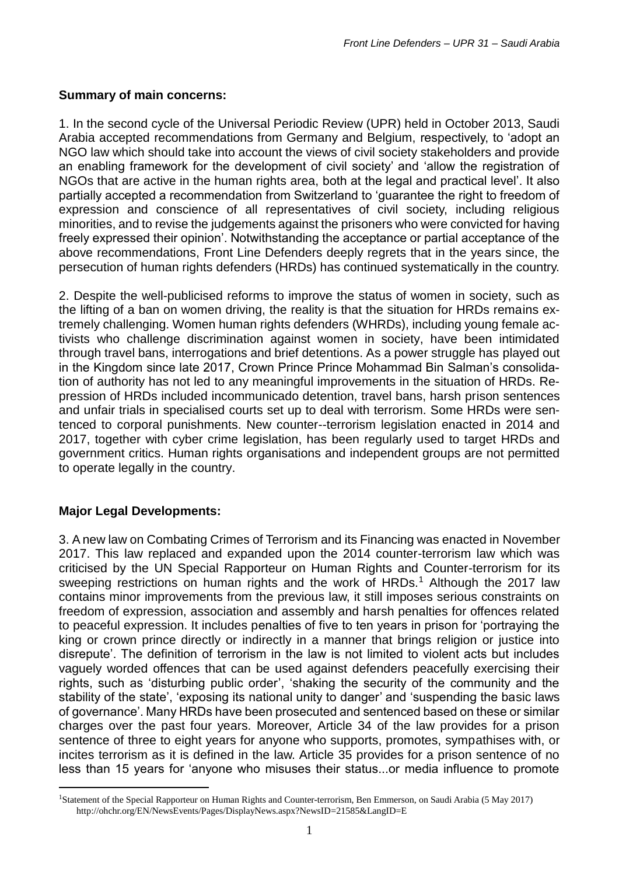#### **Summary of main concerns:**

1. In the second cycle of the Universal Periodic Review (UPR) held in October 2013, Saudi Arabia accepted recommendations from Germany and Belgium, respectively, to 'adopt an NGO law which should take into account the views of civil society stakeholders and provide an enabling framework for the development of civil society' and 'allow the registration of NGOs that are active in the human rights area, both at the legal and practical level'. It also partially accepted a recommendation from Switzerland to 'guarantee the right to freedom of expression and conscience of all representatives of civil society, including religious minorities, and to revise the judgements against the prisoners who were convicted for having freely expressed their opinion'. Notwithstanding the acceptance or partial acceptance of the above recommendations, Front Line Defenders deeply regrets that in the years since, the persecution of human rights defenders (HRDs) has continued systematically in the country.

2. Despite the well-publicised reforms to improve the status of women in society, such as the lifting of a ban on women driving, the reality is that the situation for HRDs remains extremely challenging. Women human rights defenders (WHRDs), including young female activists who challenge discrimination against women in society, have been intimidated through travel bans, interrogations and brief detentions. As a power struggle has played out in the Kingdom since late 2017, Crown Prince Prince Mohammad Bin Salman's consolidation of authority has not led to any meaningful improvements in the situation of HRDs. Repression of HRDs included incommunicado detention, travel bans, harsh prison sentences and unfair trials in specialised courts set up to deal with terrorism. Some HRDs were sentenced to corporal punishments. New counter--terrorism legislation enacted in 2014 and 2017, together with cyber crime legislation, has been regularly used to target HRDs and government critics. Human rights organisations and independent groups are not permitted to operate legally in the country.

# **Major Legal Developments:**

<u>.</u>

3. A new law on Combating Crimes of Terrorism and its Financing was enacted in November 2017. This law replaced and expanded upon the 2014 counter-terrorism law which was criticised by the UN Special Rapporteur on Human Rights and Counter-terrorism for its sweeping restrictions on human rights and the work of HRDs.<sup>1</sup> Although the 2017 law contains minor improvements from the previous law, it still imposes serious constraints on freedom of expression, association and assembly and harsh penalties for offences related to peaceful expression. It includes penalties of five to ten years in prison for 'portraying the king or crown prince directly or indirectly in a manner that brings religion or justice into disrepute'. The definition of terrorism in the law is not limited to violent acts but includes vaguely worded offences that can be used against defenders peacefully exercising their rights, such as 'disturbing public order', 'shaking the security of the community and the stability of the state', 'exposing its national unity to danger' and 'suspending the basic laws of governance'. Many HRDs have been prosecuted and sentenced based on these or similar charges over the past four years. Moreover, Article 34 of the law provides for a prison sentence of three to eight years for anyone who supports, promotes, sympathises with, or incites terrorism as it is defined in the law. Article 35 provides for a prison sentence of no less than 15 years for 'anyone who misuses their status...or media influence to promote

<sup>&</sup>lt;sup>1</sup>Statement of the Special Rapporteur on Human Rights and Counter-terrorism, Ben Emmerson, on Saudi Arabia (5 May 2017) <http://ohchr.org/EN/NewsEvents/Pages/DisplayNews.aspx?NewsID=21585&LangID=E>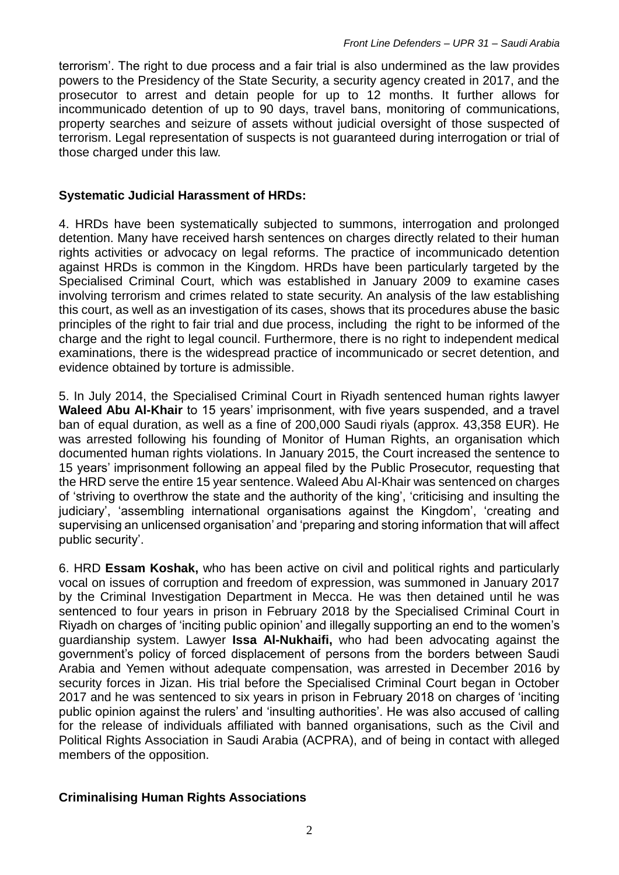terrorism'. The right to due process and a fair trial is also undermined as the law provides powers to the Presidency of the State Security, a security agency created in 2017, and the prosecutor to arrest and detain people for up to 12 months. It further allows for incommunicado detention of up to 90 days, travel bans, monitoring of communications, property searches and seizure of assets without judicial oversight of those suspected of terrorism. Legal representation of suspects is not guaranteed during interrogation or trial of those charged under this law.

## **Systematic Judicial Harassment of HRDs:**

4. HRDs have been systematically subjected to summons, interrogation and prolonged detention. Many have received harsh sentences on charges directly related to their human rights activities or advocacy on legal reforms. The practice of incommunicado detention against HRDs is common in the Kingdom. HRDs have been particularly targeted by the Specialised Criminal Court, which was established in January 2009 to examine cases involving terrorism and crimes related to state security. An analysis of the law establishing this court, as well as an investigation of its cases, shows that its procedures abuse the basic principles of the right to fair trial and due process, including the right to be informed of the charge and the right to legal council. Furthermore, there is no right to independent medical examinations, there is the widespread practice of incommunicado or secret detention, and evidence obtained by torture is admissible.

5. In July 2014, the Specialised Criminal Court in Riyadh [sentenced](https://www.frontlinedefenders.org/en/case/case-history-waleed-abu-al-khair) human rights lawyer **Waleed Abu Al-Khair** to 15 years' imprisonment, with five years suspended, and a travel ban of equal duration, as well as a fine of 200,000 Saudi riyals (approx. 43,358 EUR). He was arrested following his founding of Monitor of Human Rights, an organisation which documented human rights violations. In January 2015, the Court increased the sentence to 15 years' imprisonment following an appeal filed by the Public Prosecutor, requesting that the HRD serve the entire 15 year sentence. Waleed Abu Al-Khair was sentenced on charges of 'striving to overthrow the state and the authority of the king', 'criticising and insulting the judiciary', 'assembling international organisations against the Kingdom', 'creating and supervising an unlicensed organisation' and 'preparing and storing information that will affect public security'.

6. HRD **Essam Koshak,** who has been active on civil and political rights and particularly vocal on issues of corruption and freedom of expression, was summoned in January 2017 by the Criminal Investigation Department in Mecca. He was then detained until he was [sentenced](https://www.frontlinedefenders.org/en/case/essam-koshak-detained-saudi-authorities) to four years in prison in February 2018 by the Specialised Criminal Court in Riyadh on charges of 'inciting public opinion' and illegally supporting an end to the women's guardianship system. Lawyer **Issa Al-Nukhaifi,** who had been advocating against the government's policy of forced displacement of persons from the borders between Saudi Arabia and Yemen without adequate compensation, was arrested in December 2016 by security forces in Jizan. His trial before the Specialised Criminal Court began in October 2017 and he was [sentenced](https://www.frontlinedefenders.org/en/case/essam-koshak-detained-saudi-authorities) to six years in prison in February 2018 on charges of 'inciting public opinion against the rulers' and 'insulting authorities'. He was also accused of calling for the release of individuals affiliated with banned organisations, such as the Civil and Political Rights Association in Saudi Arabia (ACPRA), and of being in contact with alleged members of the opposition.

#### **Criminalising Human Rights Associations**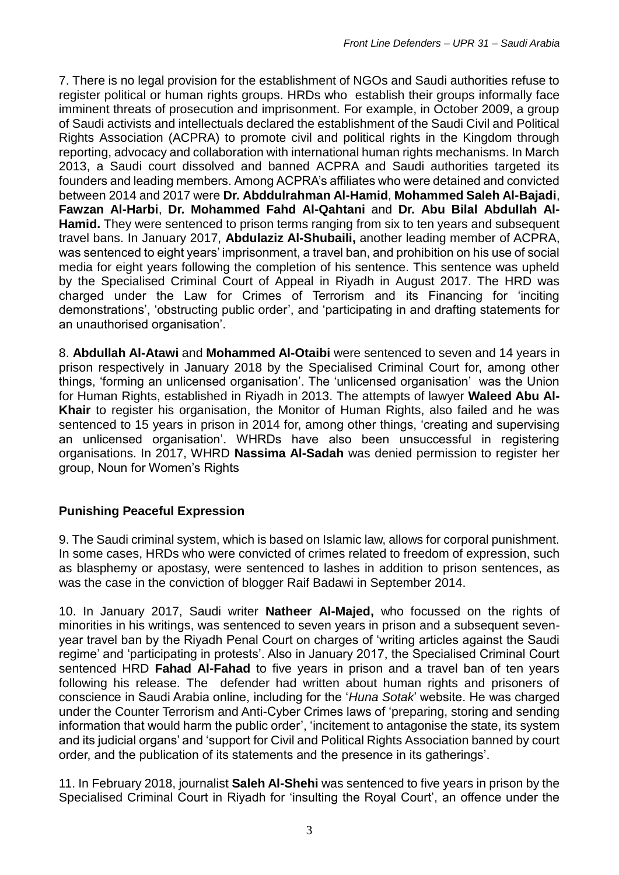7. There is no legal provision for the establishment of NGOs and Saudi authorities refuse to register political or human rights groups. HRDs who establish their groups informally face imminent threats of prosecution and imprisonment. For example, in October 2009, a group of Saudi activists and intellectuals declared the establishment of the Saudi Civil and Political Rights Association (ACPRA) to promote civil and political rights in the Kingdom through reporting, advocacy and collaboration with international human rights mechanisms. In March 2013, a Saudi court dissolved and banned ACPRA and Saudi authorities targeted its founders and leading members. Among ACPRA's affiliates who were detained and convicted between 2014 and 2017 were **Dr. Abddulrahman Al-Hamid**, **Mohammed Saleh Al-Bajadi**, **Fawzan Al-Harbi**, **Dr. Mohammed Fahd Al-Qahtani** and **Dr. Abu Bilal Abdullah Al-Hamid.** They were [sentenced](https://www.frontlinedefenders.org/en/case/prison-sentence-human-rights-defender-abdulaziz-al-shubaili-upheld) to prison terms ranging from six to ten years and subsequent travel bans. In January 2017, **Abdulaziz Al-Shubaili,** another leading member of ACPRA, was sentenced to eight years' imprisonment, a travel ban, and prohibition on his use of social media for eight years following the completion of his sentence. This sentence was upheld by the Specialised Criminal Court of Appeal in Riyadh in August 2017. The HRD was charged under the Law for Crimes of Terrorism and its Financing for 'inciting demonstrations', 'obstructing public order', and 'participating in and drafting statements for an unauthorised organisation'.

8. **Abdullah Al-Atawi** and **Mohammed Al-Otaibi** were [sentenced](https://www.frontlinedefenders.ohttps/www.frontlinedefenders.org/en/case/mohammed-al-otaibi-forcibly-deported-saudi-arabiarg/en/case/mohammed-al-otaibi-forcibly-deported-saudi-arabia) to seven and 14 years in prison respectively in January 2018 by the Specialised Criminal Court for, among other things, 'forming an unlicensed organisation'. The 'unlicensed organisation' was the Union for Human Rights, established in Riyadh in 2013. The attempts of lawyer **Waleed Abu Al-Khair** to register his organisation, the Monitor of Human Rights, also failed and he was [sentenced](https://www.frontlinedefenders.org/en/case/case-history-waleed-abu-al-khair) to 15 years in prison in 2014 for, among other things, 'creating and supervising an unlicensed organisation'. WHRDs have also been unsuccessful in registering organisations. In 2017, WHRD **Nassima Al-Sadah** was denied permission to register her group, Noun for Women's Rights

# **Punishing Peaceful Expression**

9. The Saudi criminal system, which is based on Islamic law, allows for corporal punishment. In some cases, HRDs who were convicted of crimes related to freedom of expression, such as blasphemy or apostasy, were sentenced to lashes in addition to prison sentences, as was the case in the conviction of blogger [Raif Badawi](https://www.frontlinedefenders.org/en/case/case-history-raif-badawi) in September 2014.

10. In January 2017, Saudi writer **Natheer Al-Majed,** who focussed on the rights of minorities in his writings, was [sentenced](https://www.frontlinedefenders.org/en/case/natheer-al-majed-sentenced-seven-years-prison-and-subsequent-seven-year-travel-ban) to seven years in prison and a subsequent sevenyear travel ban by the Riyadh Penal Court on charges of 'writing articles against the Saudi regime' and 'participating in protests'. Also in January 2017, the Specialised Criminal Court sentenced HRD **Fahad Al-Fahad** to five years in prison and a travel ban of ten years following his release. The defender had written about human rights and prisoners of conscience in Saudi Arabia online, including for the '*[Huna Sotak](https://hunasotak.com/article/9661)*' website. He was charged under the Counter Terrorism and Anti-Cyber Crimes laws of 'preparing, storing and sending information that would harm the public order', 'incitement to antagonise the state, its system and its judicial organs' and 'support for Civil and Political Rights Association banned by court order, and the publication of its statements and the presence in its gatherings'.

11. In February 2018, journalist **Saleh Al-Shehi** was sentenced to five years in prison by the Specialised Criminal Court in Riyadh for 'insulting the Royal Court', an offence under the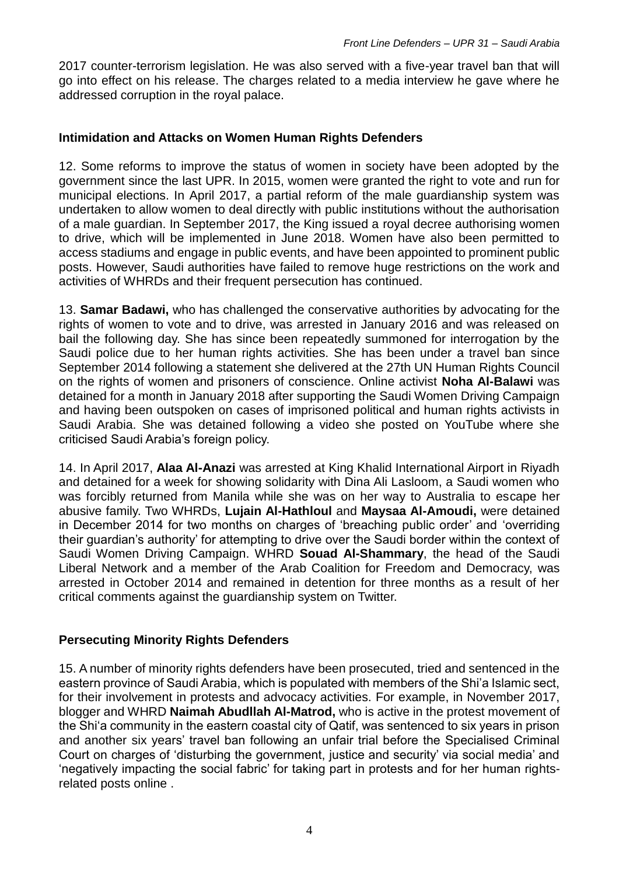2017 counter-terrorism legislation. He was also served with a five-year travel ban that will go into effect on his release. The charges related to a media interview he gave where he addressed corruption in the royal palace.

## **Intimidation and Attacks on Women Human Rights Defenders**

12. Some reforms to improve the status of women in society have been adopted by the government since the last UPR. In 2015, women were granted the right to vote and run for municipal elections. In April 2017, a partial reform of the male guardianship system was undertaken to allow women to deal directly with public institutions without the authorisation of a male guardian. In September 2017, the King issued a royal decree authorising women to drive, which will be implemented in June 2018. Women have also been permitted to access stadiums and engage in public events, and have been appointed to prominent public posts. However, Saudi authorities have failed to remove huge restrictions on the work and activities of WHRDs and their frequent persecution has continued.

13. **[Samar Badawi,](https://www.frontlinedefenders.org/en/case/case-history-samar-badawi)** who has challenged the conservative authorities by advocating for the rights of women to vote and to drive, was arrested in January 2016 and was released on bail the following day. She has since been repeatedly summoned for interrogation by the Saudi police due to her human rights activities. She has been under a travel ban since September 2014 following a statement she delivered at the 27th UN Human Rights Council on the rights of women and prisoners of conscience. Online activist **Noha Al-Balawi** was detained for a month in January 2018 after supporting the Saudi Women Driving Campaign and having been outspoken on cases of imprisoned political and human rights activists in Saudi Arabia. She was detained following a video she posted on YouTube where she criticised Saudi Arabia's foreign policy.

14. In April 2017, **Alaa Al-Anazi** was arrested at King Khalid International Airport in Riyadh and detained for a week for showing solidarity with Dina Ali Lasloom, a Saudi women who was forcibly returned from Manila while she was on her way to Australia to escape her abusive family. Two WHRDs, **Lujain Al-Hathloul** and **Maysaa Al-Amoudi,** were [detained](https://www.frontlinedefenders.org/en/case/case-history-lujain-al-hathlol) in December 2014 for two months on charges of 'breaching public order' and 'overriding their guardian's authority' for attempting to drive over the Saudi border within the context of Saudi Women Driving Campaign. WHRD **Souad Al-Shammary**, the head of the Saudi Liberal Network and a member of the Arab Coalition for Freedom and Democracy, was [arrested](https://www.frontlinedefenders.org/en/case/case-history-souad-al-shammary) in October 2014 and remained in detention for three months as a result of her critical comments against the guardianship system on Twitter.

# **Persecuting Minority Rights Defenders**

15. A number of minority rights defenders have been prosecuted, tried and sentenced in the eastern province of Saudi Arabia, which is populated with members of the Shi'a Islamic sect, for their involvement in protests and advocacy activities. For example, in November 2017, blogger and WHRD **Naimah Abudllah Al-Matrod,** who is active in the protest movement of the Shi'a community in the eastern coastal city of Qatif, was sentenced to six years in prison and another six years' travel ban following an unfair trial before the Specialised Criminal Court on charges of 'disturbing the government, justice and security' via social media' and 'negatively impacting the social fabric' for taking part in protests and for her human rightsrelated posts online .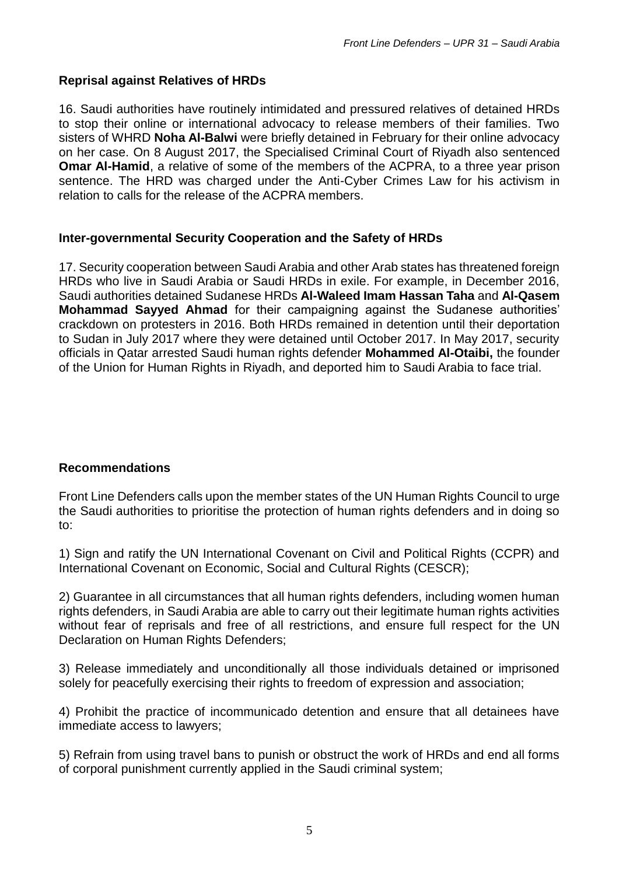## **Reprisal against Relatives of HRDs**

16. Saudi authorities have routinely intimidated and pressured relatives of detained HRDs to stop their online or international advocacy to release members of their families. Two sisters of WHRD **Noha Al-Balwi** were briefly detained in February for their online advocacy on her case. On 8 August 2017, the Specialised Criminal Court of Riyadh also [sentenced](https://www.frontlinedefenders.org/en/case/prison-sentence-human-rights-defender-abdulaziz-al-shubaili-upheld) **Omar Al-Hamid**, a relative of some of the members of the ACPRA, to a three year prison sentence. The HRD was charged under the Anti-Cyber Crimes Law for his activism in relation to calls for the release of the ACPRA members.

#### **Inter-governmental Security Cooperation and the Safety of HRDs**

17. Security cooperation between Saudi Arabia and other Arab states has threatened foreign HRDs who live in Saudi Arabia or Saudi HRDs in exile. For example, in December 2016, Saudi authorities [detained](https://www.frontlinedefenders.org/en/case/al-qasem-mohammad-sayyed-ahmad-detained-unknown-location-saudi-authorities-and-risk-deportation) Sudanese HRDs **Al-Waleed Imam Hassan Taha** and **Al-Qasem Mohammad Sayyed Ahmad** for their campaigning against the Sudanese authorities' crackdown on protesters in 2016. Both HRDs remained in detention until their deportation to Sudan in July 2017 where they were detained until October 2017. In May 2017, security officials in Qatar [arrested](https://www.frontlinedefenders.org/en/case/mohammed-al-otaibi-forcibly-deported-saudi-arabia) Saudi human rights defender **Mohammed Al-Otaibi,** the founder of the Union for Human Rights in Riyadh, and deported him to Saudi Arabia to face trial.

# **Recommendations**

Front Line Defenders calls upon the member states of the UN Human Rights Council to urge the Saudi authorities to prioritise the protection of human rights defenders and in doing so to:

1) Sign and ratify the UN International Covenant on Civil and Political Rights (CCPR) and International Covenant on Economic, Social and Cultural Rights (CESCR);

2) Guarantee in all circumstances that all human rights defenders, including women human rights defenders, in Saudi Arabia are able to carry out their legitimate human rights activities without fear of reprisals and free of all restrictions, and ensure full respect for the UN Declaration on Human Rights Defenders;

3) Release immediately and unconditionally all those individuals detained or imprisoned solely for peacefully exercising their rights to freedom of expression and association;

4) Prohibit the practice of incommunicado detention and ensure that all detainees have immediate access to lawyers;

5) Refrain from using travel bans to punish or obstruct the work of HRDs and end all forms of corporal punishment currently applied in the Saudi criminal system;